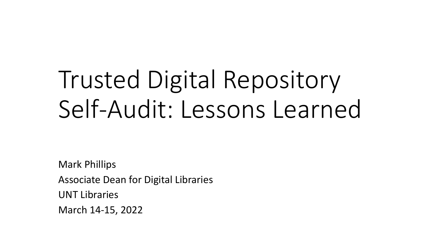# Trusted Digital Repository Self-Audit: Lessons Learned

Mark Phillips Associate Dean for Digital Libraries UNT Libraries March 14-15, 2022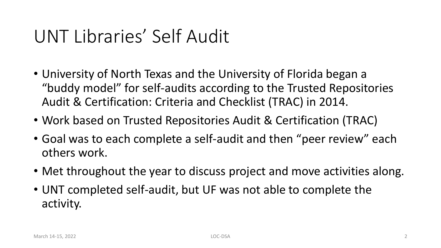## UNT Libraries' Self Audit

- University of North Texas and the University of Florida began a "buddy model" for self-audits according to the Trusted Repositories Audit & Certification: Criteria and Checklist (TRAC) in 2014.
- Work based on Trusted Repositories Audit & Certification (TRAC)
- Goal was to each complete a self-audit and then "peer review" each others work.
- Met throughout the year to discuss project and move activities along.
- UNT completed self-audit, but UF was not able to complete the activity.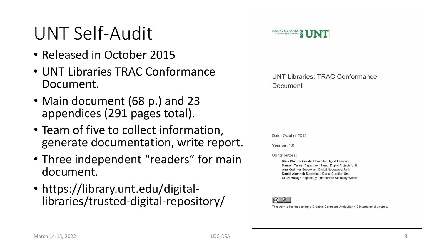## UNT Self -Audit

- Released in October 2015
- UNT Libraries TRAC Conformance Document.
- Main document (68 p.) and 23 appendices (291 pages total).
- Team of five to collect information, generate documentation, write report.
- Three independent "readers" for main document.
- https://library.unt.edu/digital-- libraries/trusted-digital-repository/

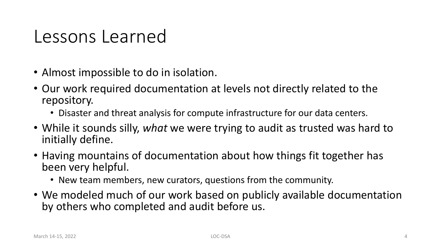#### Lessons Learned

- Almost impossible to do in isolation.
- Our work required documentation at levels not directly related to the repository.
	- Disaster and threat analysis for compute infrastructure for our data centers.
- While it sounds silly, *what* we were trying to audit as trusted was hard to initially define.
- Having mountains of documentation about how things fit together has been very helpful.
	- New team members, new curators, questions from the community.
- We modeled much of our work based on publicly available documentation by others who completed and audit before us.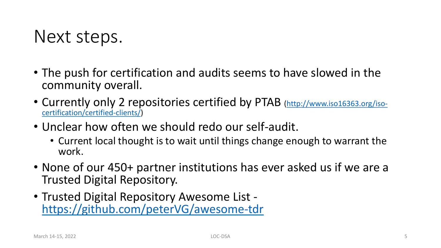### Next steps.

- The push for certification and audits seems to have slowed in the community overall.
- [Currently only 2 repositories certified by PTAB \(http://www.iso16363.org/iso](http://www.iso16363.org/iso-certification/certified-clients/)certification/certified-clients/)
- Unclear how often we should redo our self-audit.
	- Current local thought is to wait until things change enough to warrant the work.
- None of our 450+ partner institutions has ever asked us if we are a Trusted Digital Repository.
- Trusted Digital Repository Awesome List <https://github.com/peterVG/awesome-tdr>